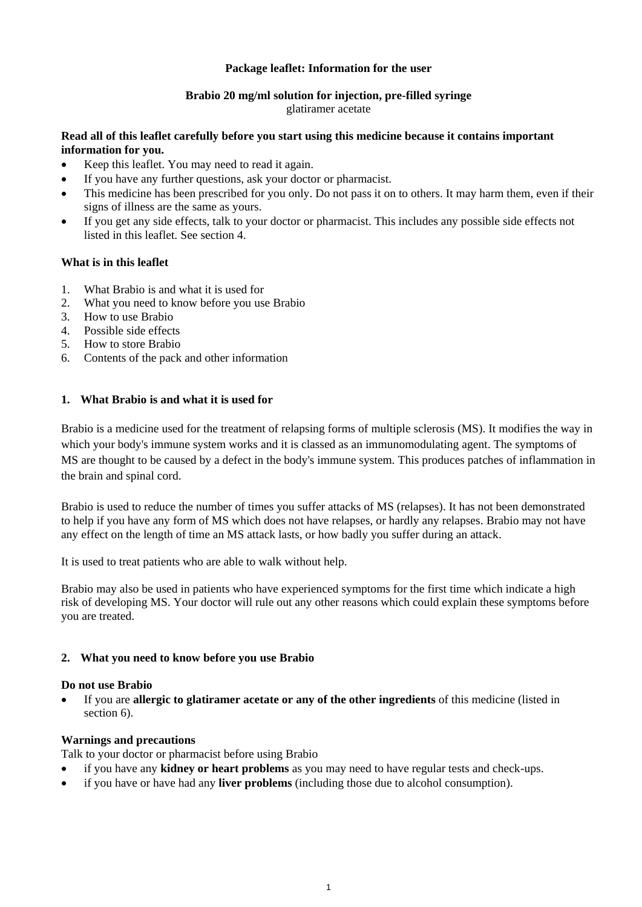## **Package leaflet: Information for the user**

#### **Brabio 20 mg/ml solution for injection, pre-filled syringe** glatiramer acetate

# **Read all of this leaflet carefully before you start using this medicine because it contains important information for you.**

- Keep this leaflet. You may need to read it again.
- If you have any further questions, ask your doctor or pharmacist.
- This medicine has been prescribed for you only. Do not pass it on to others. It may harm them, even if their signs of illness are the same as yours.
- If you get any side effects, talk to your doctor or pharmacist. This includes any possible side effects not listed in this leaflet. See section 4.

## **What is in this leaflet**

- 1. What Brabio is and what it is used for
- 2. What you need to know before you use Brabio
- 3. How to use Brabio
- 4. Possible side effects
- 5. How to store Brabio
- 6. Contents of the pack and other information

## **1. What Brabio is and what it is used for**

Brabio is a medicine used for the treatment of relapsing forms of multiple sclerosis (MS). It modifies the way in which your body's immune system works and it is classed as an immunomodulating agent. The symptoms of MS are thought to be caused by a defect in the body's immune system. This produces patches of inflammation in the brain and spinal cord.

Brabio is used to reduce the number of times you suffer attacks of MS (relapses). It has not been demonstrated to help if you have any form of MS which does not have relapses, or hardly any relapses. Brabio may not have any effect on the length of time an MS attack lasts, or how badly you suffer during an attack.

It is used to treat patients who are able to walk without help.

Brabio may also be used in patients who have experienced symptoms for the first time which indicate a high risk of developing MS. Your doctor will rule out any other reasons which could explain these symptoms before you are treated.

### **2. What you need to know before you use Brabio**

### **Do not use Brabio**

 If you are **allergic to glatiramer acetate or any of the other ingredients** of this medicine (listed in section 6).

### **Warnings and precautions**

Talk to your doctor or pharmacist before using Brabio

- if you have any **kidney or heart problems** as you may need to have regular tests and check-ups.
- if you have or have had any **liver problems** (including those due to alcohol consumption).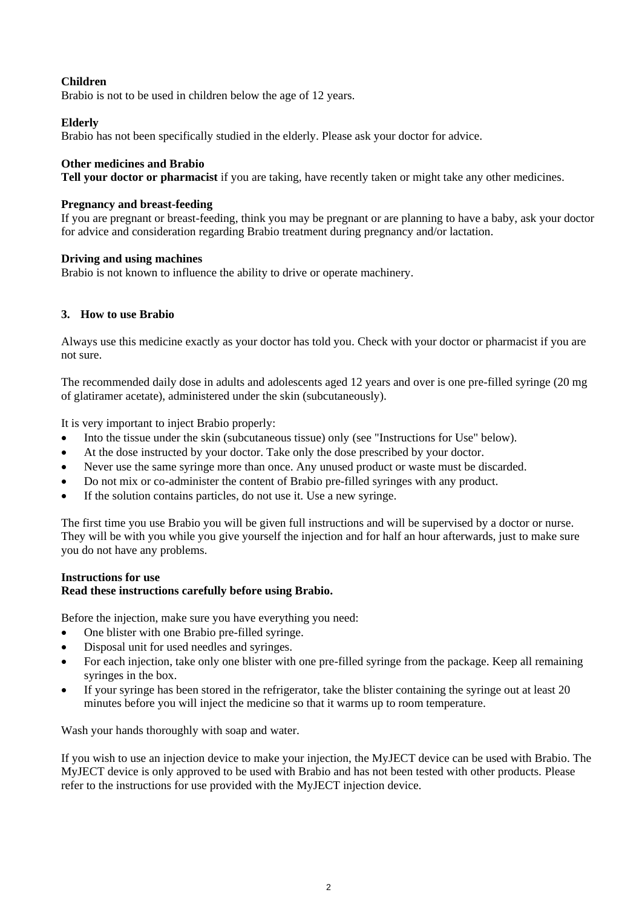# **Children**

Brabio is not to be used in children below the age of 12 years.

## **Elderly**

Brabio has not been specifically studied in the elderly. Please ask your doctor for advice.

### **Other medicines and Brabio**

**Tell your doctor or pharmacist** if you are taking, have recently taken or might take any other medicines.

### **Pregnancy and breast-feeding**

If you are pregnant or breast-feeding, think you may be pregnant or are planning to have a baby, ask your doctor for advice and consideration regarding Brabio treatment during pregnancy and/or lactation.

### **Driving and using machines**

Brabio is not known to influence the ability to drive or operate machinery.

## **3. How to use Brabio**

Always use this medicine exactly as your doctor has told you. Check with your doctor or pharmacist if you are not sure.

The recommended daily dose in adults and adolescents aged 12 years and over is one pre-filled syringe (20 mg of glatiramer acetate), administered under the skin (subcutaneously).

It is very important to inject Brabio properly:

- Into the tissue under the skin (subcutaneous tissue) only (see "Instructions for Use" below).
- At the dose instructed by your doctor. Take only the dose prescribed by your doctor.
- Never use the same syringe more than once. Any unused product or waste must be discarded.
- Do not mix or co-administer the content of Brabio pre-filled syringes with any product.
- If the solution contains particles, do not use it. Use a new syringe.

The first time you use Brabio you will be given full instructions and will be supervised by a doctor or nurse. They will be with you while you give yourself the injection and for half an hour afterwards, just to make sure you do not have any problems.

## **Instructions for use Read these instructions carefully before using Brabio.**

Before the injection, make sure you have everything you need:

- One blister with one Brabio pre-filled syringe.
- Disposal unit for used needles and syringes.
- For each injection, take only one blister with one pre-filled syringe from the package. Keep all remaining syringes in the box.
- If your syringe has been stored in the refrigerator, take the blister containing the syringe out at least 20 minutes before you will inject the medicine so that it warms up to room temperature.

Wash your hands thoroughly with soap and water.

If you wish to use an injection device to make your injection, the MyJECT device can be used with Brabio. The MyJECT device is only approved to be used with Brabio and has not been tested with other products. Please refer to the instructions for use provided with the MyJECT injection device.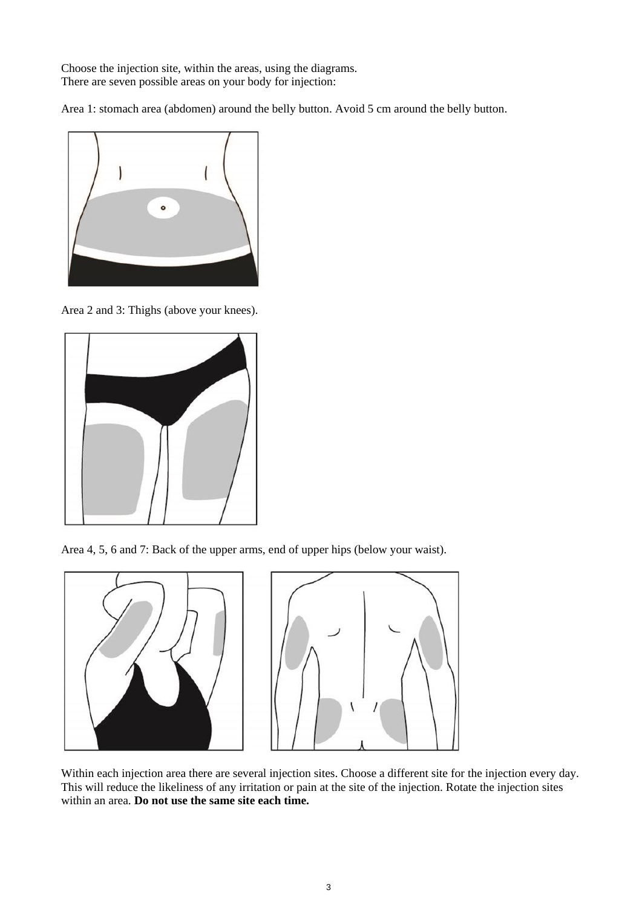Choose the injection site, within the areas, using the diagrams. There are seven possible areas on your body for injection:

Area 1: stomach area (abdomen) around the belly button. Avoid 5 cm around the belly button.



Area 2 and 3: Thighs (above your knees).



Area 4, 5, 6 and 7: Back of the upper arms, end of upper hips (below your waist).



Within each injection area there are several injection sites. Choose a different site for the injection every day. This will reduce the likeliness of any irritation or pain at the site of the injection. Rotate the injection sites within an area. **Do not use the same site each time.**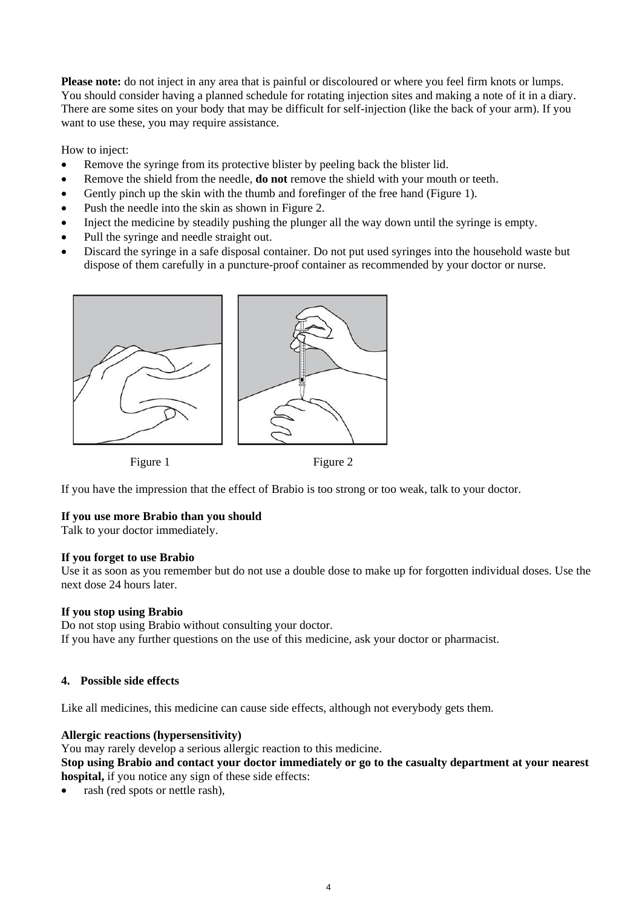**Please note:** do not inject in any area that is painful or discoloured or where you feel firm knots or lumps. You should consider having a planned schedule for rotating injection sites and making a note of it in a diary. There are some sites on your body that may be difficult for self-injection (like the back of your arm). If you want to use these, you may require assistance.

How to inject:

- Remove the syringe from its protective blister by peeling back the blister lid.
- Remove the shield from the needle, **do not** remove the shield with your mouth or teeth.
- Gently pinch up the skin with the thumb and forefinger of the free hand (Figure 1).
- Push the needle into the skin as shown in Figure 2.
- Inject the medicine by steadily pushing the plunger all the way down until the syringe is empty.
- Pull the syringe and needle straight out.
- Discard the syringe in a safe disposal container. Do not put used syringes into the household waste but dispose of them carefully in a puncture-proof container as recommended by your doctor or nurse.



Figure 1 Figure 2

If you have the impression that the effect of Brabio is too strong or too weak, talk to your doctor.

# **If you use more Brabio than you should**

Talk to your doctor immediately.

### **If you forget to use Brabio**

Use it as soon as you remember but do not use a double dose to make up for forgotten individual doses. Use the next dose 24 hours later.

### **If you stop using Brabio**

Do not stop using Brabio without consulting your doctor. If you have any further questions on the use of this medicine, ask your doctor or pharmacist.

# **4. Possible side effects**

Like all medicines, this medicine can cause side effects, although not everybody gets them.

### **Allergic reactions (hypersensitivity)**

You may rarely develop a serious allergic reaction to this medicine.

**Stop using Brabio and contact your doctor immediately or go to the casualty department at your nearest hospital,** if you notice any sign of these side effects:

rash (red spots or nettle rash),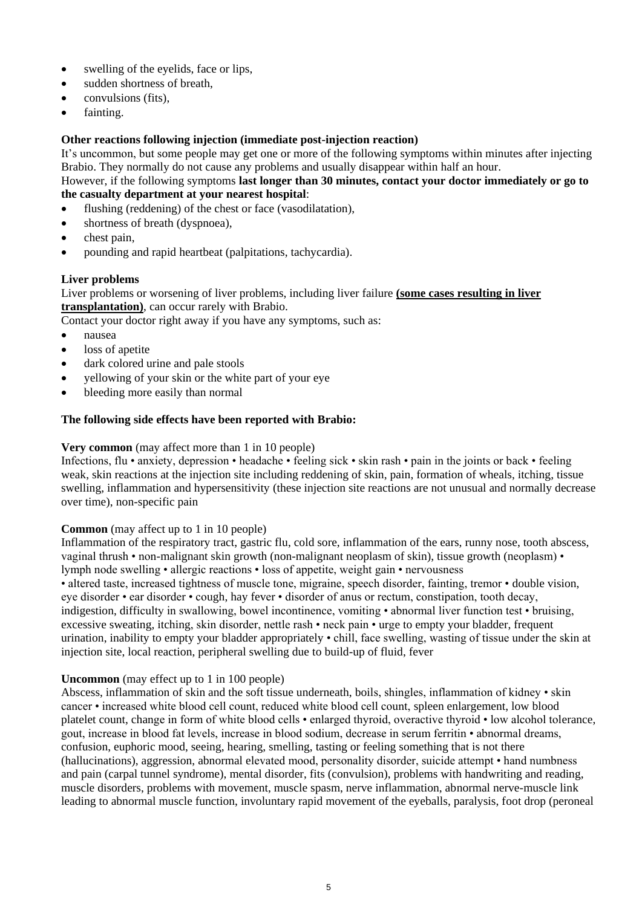- swelling of the evelids, face or lips,
- sudden shortness of breath,
- convulsions (fits),
- fainting.

# **Other reactions following injection (immediate post-injection reaction)**

It's uncommon, but some people may get one or more of the following symptoms within minutes after injecting Brabio. They normally do not cause any problems and usually disappear within half an hour.

However, if the following symptoms **last longer than 30 minutes, contact your doctor immediately or go to the casualty department at your nearest hospital**:

- flushing (reddening) of the chest or face (vasodilatation),
- shortness of breath (dyspnoea),
- chest pain,
- pounding and rapid heartbeat (palpitations, tachycardia).

### **Liver problems**

Liver problems or worsening of liver problems, including liver failure **(some cases resulting in liver transplantation)**, can occur rarely with Brabio.

Contact your doctor right away if you have any symptoms, such as:

- nausea
- loss of apetite
- dark colored urine and pale stools
- yellowing of your skin or the white part of your eye
- bleeding more easily than normal

## **The following side effects have been reported with Brabio:**

### **Very common** (may affect more than 1 in 10 people)

Infections, flu • anxiety, depression • headache • feeling sick • skin rash • pain in the joints or back • feeling weak, skin reactions at the injection site including reddening of skin, pain, formation of wheals, itching, tissue swelling, inflammation and hypersensitivity (these injection site reactions are not unusual and normally decrease over time), non-specific pain

### **Common** (may affect up to 1 in 10 people)

Inflammation of the respiratory tract, gastric flu, cold sore, inflammation of the ears, runny nose, tooth abscess, vaginal thrush • non-malignant skin growth (non-malignant neoplasm of skin), tissue growth (neoplasm) • lymph node swelling • allergic reactions • loss of appetite, weight gain • nervousness • altered taste, increased tightness of muscle tone, migraine, speech disorder, fainting, tremor • double vision, eye disorder • ear disorder • cough, hay fever • disorder of anus or rectum, constipation, tooth decay, indigestion, difficulty in swallowing, bowel incontinence, vomiting • abnormal liver function test • bruising, excessive sweating, itching, skin disorder, nettle rash • neck pain • urge to empty your bladder, frequent urination, inability to empty your bladder appropriately • chill, face swelling, wasting of tissue under the skin at injection site, local reaction, peripheral swelling due to build-up of fluid, fever

### **Uncommon** (may effect up to 1 in 100 people)

Abscess, inflammation of skin and the soft tissue underneath, boils, shingles, inflammation of kidney • skin cancer • increased white blood cell count, reduced white blood cell count, spleen enlargement, low blood platelet count, change in form of white blood cells • enlarged thyroid, overactive thyroid • low alcohol tolerance, gout, increase in blood fat levels, increase in blood sodium, decrease in serum ferritin • abnormal dreams, confusion, euphoric mood, seeing, hearing, smelling, tasting or feeling something that is not there (hallucinations), aggression, abnormal elevated mood, personality disorder, suicide attempt • hand numbness and pain (carpal tunnel syndrome), mental disorder, fits (convulsion), problems with handwriting and reading, muscle disorders, problems with movement, muscle spasm, nerve inflammation, abnormal nerve-muscle link leading to abnormal muscle function, involuntary rapid movement of the eyeballs, paralysis, foot drop (peroneal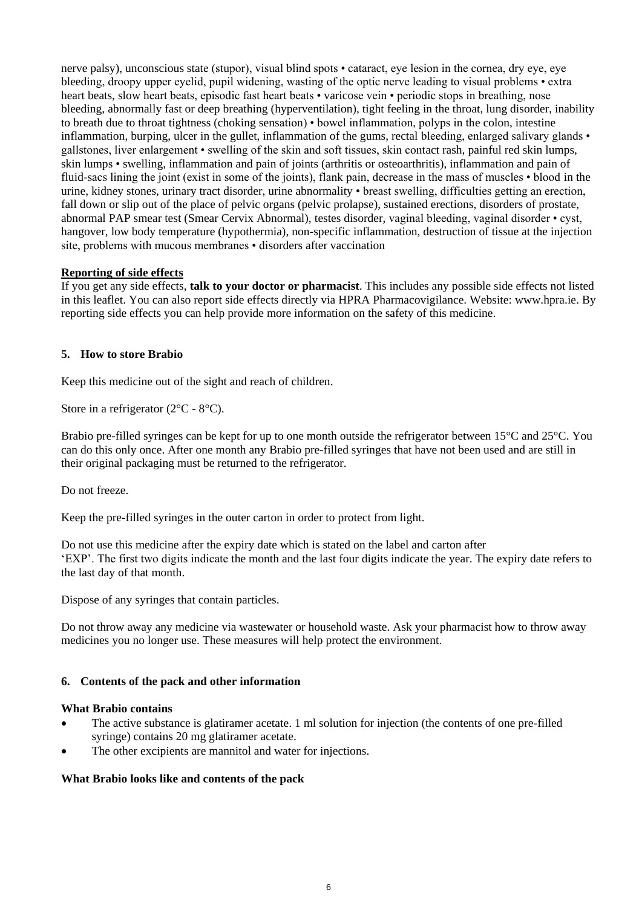nerve palsy), unconscious state (stupor), visual blind spots • cataract, eye lesion in the cornea, dry eye, eye bleeding, droopy upper eyelid, pupil widening, wasting of the optic nerve leading to visual problems • extra heart beats, slow heart beats, episodic fast heart beats • varicose vein • periodic stops in breathing, nose bleeding, abnormally fast or deep breathing (hyperventilation), tight feeling in the throat, lung disorder, inability to breath due to throat tightness (choking sensation) • bowel inflammation, polyps in the colon, intestine inflammation, burping, ulcer in the gullet, inflammation of the gums, rectal bleeding, enlarged salivary glands • gallstones, liver enlargement • swelling of the skin and soft tissues, skin contact rash, painful red skin lumps, skin lumps • swelling, inflammation and pain of joints (arthritis or osteoarthritis), inflammation and pain of fluid-sacs lining the joint (exist in some of the joints), flank pain, decrease in the mass of muscles • blood in the urine, kidney stones, urinary tract disorder, urine abnormality • breast swelling, difficulties getting an erection, fall down or slip out of the place of pelvic organs (pelvic prolapse), sustained erections, disorders of prostate, abnormal PAP smear test (Smear Cervix Abnormal), testes disorder, vaginal bleeding, vaginal disorder • cyst, hangover, low body temperature (hypothermia), non-specific inflammation, destruction of tissue at the injection site, problems with mucous membranes • disorders after vaccination

## **Reporting of side effects**

If you get any side effects, **talk to your doctor or pharmacist**. This includes any possible side effects not listed in this leaflet. You can also report side effects directly via HPRA Pharmacovigilance. Website: www.hpra.ie. By reporting side effects you can help provide more information on the safety of this medicine.

## **5. How to store Brabio**

Keep this medicine out of the sight and reach of children.

Store in a refrigerator (2<sup>o</sup>C - 8<sup>o</sup>C).

Brabio pre-filled syringes can be kept for up to one month outside the refrigerator between 15°C and 25°C. You can do this only once. After one month any Brabio pre-filled syringes that have not been used and are still in their original packaging must be returned to the refrigerator.

Do not freeze.

Keep the pre-filled syringes in the outer carton in order to protect from light.

Do not use this medicine after the expiry date which is stated on the label and carton after 'EXP'. The first two digits indicate the month and the last four digits indicate the year. The expiry date refers to the last day of that month.

Dispose of any syringes that contain particles.

Do not throw away any medicine via wastewater or household waste. Ask your pharmacist how to throw away medicines you no longer use. These measures will help protect the environment.

# **6. Contents of the pack and other information**

### **What Brabio contains**

- The active substance is glatiramer acetate. 1 ml solution for injection (the contents of one pre-filled syringe) contains 20 mg glatiramer acetate.
- The other excipients are mannitol and water for injections.

# **What Brabio looks like and contents of the pack**